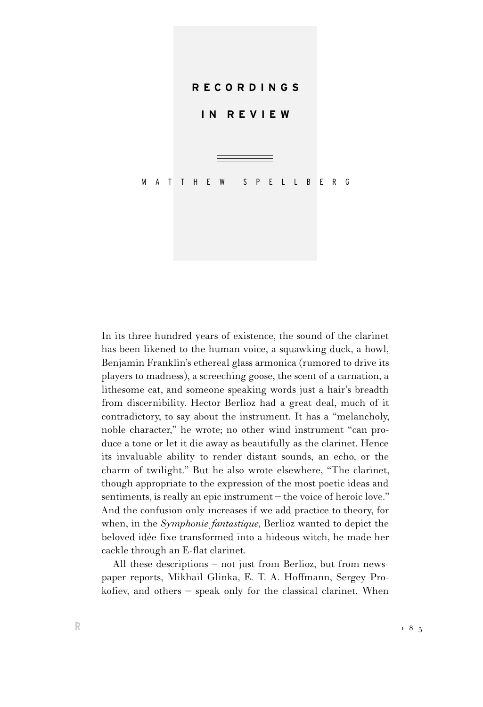## **RECORDINGS IN REVIEW** MATTHEW SPELLBERG

In its three hundred years of existence, the sound of the clarinet has been likened to the human voice, a squawking duck, a howl, Benjamin Franklin's ethereal glass armonica (rumored to drive its players to madness), a screeching goose, the scent of a carnation, a lithesome cat, and someone speaking words just a hair's breadth from discernibility. Hector Berlioz had a great deal, much of it contradictory, to say about the instrument. It has a ''melancholy, noble character,'' he wrote; no other wind instrument ''can produce a tone or let it die away as beautifully as the clarinet. Hence its invaluable ability to render distant sounds, an echo, or the charm of twilight.'' But he also wrote elsewhere, ''The clarinet, though appropriate to the expression of the most poetic ideas and sentiments, is really an epic instrument – the voice of heroic love.'' And the confusion only increases if we add practice to theory, for when, in the *Symphonie fantastique,* Berlioz wanted to depict the beloved idée fixe transformed into a hideous witch, he made her cackle through an E-flat clarinet.

All these descriptions – not just from Berlioz, but from newspaper reports, Mikhail Glinka, E. T. A. Hoffmann, Sergey Prokofiev, and others – speak only for the classical clarinet. When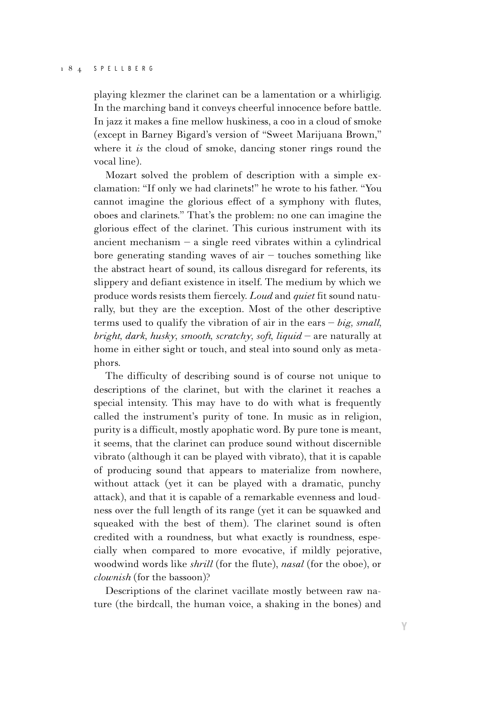playing klezmer the clarinet can be a lamentation or a whirligig. In the marching band it conveys cheerful innocence before battle. In jazz it makes a fine mellow huskiness, a coo in a cloud of smoke (except in Barney Bigard's version of ''Sweet Marijuana Brown,'' where it *is* the cloud of smoke, dancing stoner rings round the vocal line).

Mozart solved the problem of description with a simple exclamation: ''If only we had clarinets!'' he wrote to his father. ''You cannot imagine the glorious effect of a symphony with flutes, oboes and clarinets.'' That's the problem: no one can imagine the glorious effect of the clarinet. This curious instrument with its ancient mechanism  $-$  a single reed vibrates within a cylindrical bore generating standing waves of  $air - touches$  something like the abstract heart of sound, its callous disregard for referents, its slippery and defiant existence in itself. The medium by which we produce words resists them fiercely. *Loud* and *quiet* fit sound naturally, but they are the exception. Most of the other descriptive terms used to qualify the vibration of air in the ears – *big, small, bright, dark, husky, smooth, scratchy, soft, liquid* – are naturally at home in either sight or touch, and steal into sound only as metaphors.

The difficulty of describing sound is of course not unique to descriptions of the clarinet, but with the clarinet it reaches a special intensity. This may have to do with what is frequently called the instrument's purity of tone. In music as in religion, purity is a difficult, mostly apophatic word. By pure tone is meant, it seems, that the clarinet can produce sound without discernible vibrato (although it can be played with vibrato), that it is capable of producing sound that appears to materialize from nowhere, without attack (yet it can be played with a dramatic, punchy attack), and that it is capable of a remarkable evenness and loudness over the full length of its range (yet it can be squawked and squeaked with the best of them). The clarinet sound is often credited with a roundness, but what exactly is roundness, especially when compared to more evocative, if mildly pejorative, woodwind words like *shrill* (for the flute), *nasal* (for the oboe), or *clownish* (for the bassoon)?

Descriptions of the clarinet vacillate mostly between raw nature (the birdcall, the human voice, a shaking in the bones) and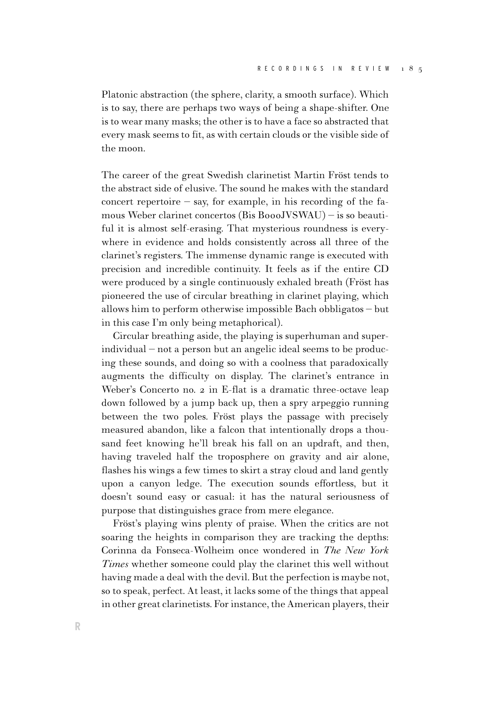Platonic abstraction (the sphere, clarity, a smooth surface). Which is to say, there are perhaps two ways of being a shape-shifter. One is to wear many masks; the other is to have a face so abstracted that every mask seems to fit, as with certain clouds or the visible side of the moon.

The career of the great Swedish clarinetist Martin Fröst tends to the abstract side of elusive. The sound he makes with the standard concert repertoire  $-$  say, for example, in his recording of the famous Weber clarinet concertos (Bis BoooJVSWAU) – is so beautiful it is almost self-erasing. That mysterious roundness is everywhere in evidence and holds consistently across all three of the clarinet's registers. The immense dynamic range is executed with precision and incredible continuity. It feels as if the entire CD were produced by a single continuously exhaled breath (Fröst has pioneered the use of circular breathing in clarinet playing, which allows him to perform otherwise impossible Bach obbligatos – but in this case I'm only being metaphorical).

Circular breathing aside, the playing is superhuman and superindividual – not a person but an angelic ideal seems to be producing these sounds, and doing so with a coolness that paradoxically augments the difficulty on display. The clarinet's entrance in Weber's Concerto no. 2 in E-flat is a dramatic three-octave leap down followed by a jump back up, then a spry arpeggio running between the two poles. Fröst plays the passage with precisely measured abandon, like a falcon that intentionally drops a thousand feet knowing he'll break his fall on an updraft, and then, having traveled half the troposphere on gravity and air alone, flashes his wings a few times to skirt a stray cloud and land gently upon a canyon ledge. The execution sounds effortless, but it doesn't sound easy or casual: it has the natural seriousness of purpose that distinguishes grace from mere elegance.

Fröst's playing wins plenty of praise. When the critics are not soaring the heights in comparison they are tracking the depths: Corinna da Fonseca-Wolheim once wondered in *The New York Times* whether someone could play the clarinet this well without having made a deal with the devil. But the perfection is maybe not, so to speak, perfect. At least, it lacks some of the things that appeal in other great clarinetists. For instance, the American players, their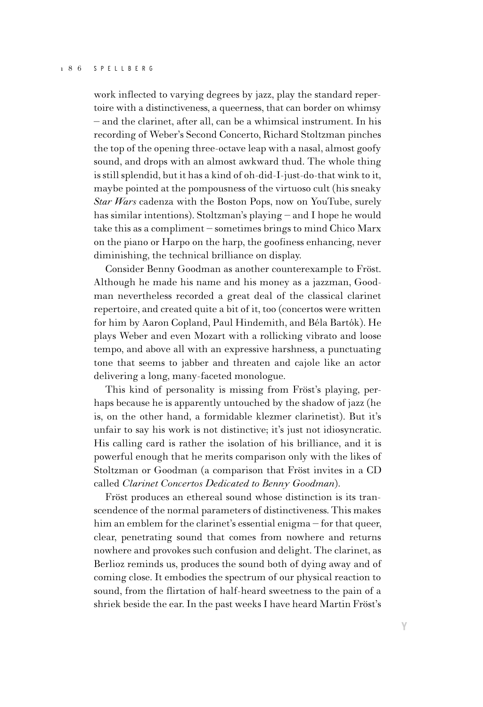work inflected to varying degrees by jazz, play the standard repertoire with a distinctiveness, a queerness, that can border on whimsy – and the clarinet, after all, can be a whimsical instrument. In his recording of Weber's Second Concerto, Richard Stoltzman pinches the top of the opening three-octave leap with a nasal, almost goofy sound, and drops with an almost awkward thud. The whole thing is still splendid, but it has a kind of oh-did-I-just-do-that wink to it, maybe pointed at the pompousness of the virtuoso cult (his sneaky *Star Wars* cadenza with the Boston Pops, now on YouTube, surely has similar intentions). Stoltzman's playing – and I hope he would take this as a compliment – sometimes brings to mind Chico Marx on the piano or Harpo on the harp, the goofiness enhancing, never diminishing, the technical brilliance on display.

Consider Benny Goodman as another counterexample to Fröst. Although he made his name and his money as a jazzman, Goodman nevertheless recorded a great deal of the classical clarinet repertoire, and created quite a bit of it, too (concertos were written for him by Aaron Copland, Paul Hindemith, and Béla Bartók). He plays Weber and even Mozart with a rollicking vibrato and loose tempo, and above all with an expressive harshness, a punctuating tone that seems to jabber and threaten and cajole like an actor delivering a long, many-faceted monologue.

This kind of personality is missing from Fröst's playing, perhaps because he is apparently untouched by the shadow of jazz (he is, on the other hand, a formidable klezmer clarinetist). But it's unfair to say his work is not distinctive; it's just not idiosyncratic. His calling card is rather the isolation of his brilliance, and it is powerful enough that he merits comparison only with the likes of Stoltzman or Goodman (a comparison that Fröst invites in a CD called *Clarinet Concertos Dedicated to Benny Goodman*).

Fröst produces an ethereal sound whose distinction is its transcendence of the normal parameters of distinctiveness. This makes him an emblem for the clarinet's essential enigma – for that queer, clear, penetrating sound that comes from nowhere and returns nowhere and provokes such confusion and delight. The clarinet, as Berlioz reminds us, produces the sound both of dying away and of coming close. It embodies the spectrum of our physical reaction to sound, from the flirtation of half-heard sweetness to the pain of a shriek beside the ear. In the past weeks I have heard Martin Fröst's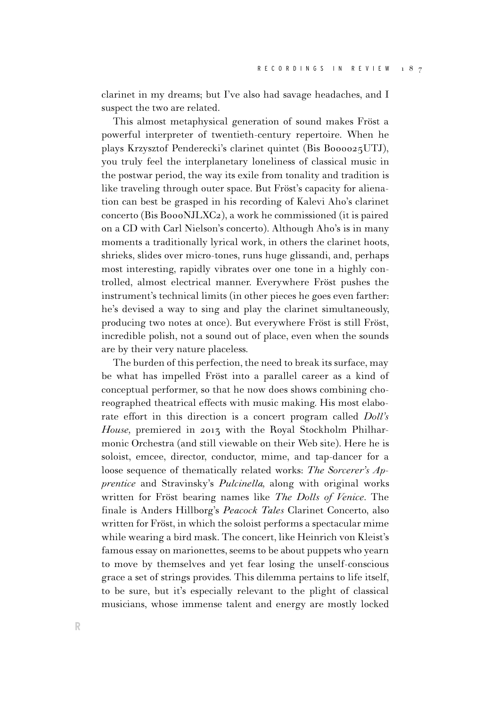clarinet in my dreams; but I've also had savage headaches, and I suspect the two are related.

This almost metaphysical generation of sound makes Fröst a powerful interpreter of twentieth-century repertoire. When he plays Krzysztof Penderecki's clarinet quintet (Bis B000025UTJ), you truly feel the interplanetary loneliness of classical music in the postwar period, the way its exile from tonality and tradition is like traveling through outer space. But Fröst's capacity for alienation can best be grasped in his recording of Kalevi Aho's clarinet concerto (Bis B000NJLXC2), a work he commissioned (it is paired on a CD with Carl Nielson's concerto). Although Aho's is in many moments a traditionally lyrical work, in others the clarinet hoots, shrieks, slides over micro-tones, runs huge glissandi, and, perhaps most interesting, rapidly vibrates over one tone in a highly controlled, almost electrical manner. Everywhere Fröst pushes the instrument's technical limits (in other pieces he goes even farther: he's devised a way to sing and play the clarinet simultaneously, producing two notes at once). But everywhere Fröst is still Fröst, incredible polish, not a sound out of place, even when the sounds are by their very nature placeless.

The burden of this perfection, the need to break its surface, may be what has impelled Fröst into a parallel career as a kind of conceptual performer, so that he now does shows combining choreographed theatrical effects with music making. His most elaborate effort in this direction is a concert program called *Doll's House,* premiered in 2013 with the Royal Stockholm Philharmonic Orchestra (and still viewable on their Web site). Here he is soloist, emcee, director, conductor, mime, and tap-dancer for a loose sequence of thematically related works: *The Sorcerer's Apprentice* and Stravinsky's *Pulcinella,* along with original works written for Fröst bearing names like *The Dolls of Venice*. The finale is Anders Hillborg's *Peacock Tales* Clarinet Concerto, also written for Fröst, in which the soloist performs a spectacular mime while wearing a bird mask. The concert, like Heinrich von Kleist's famous essay on marionettes, seems to be about puppets who yearn to move by themselves and yet fear losing the unself-conscious grace a set of strings provides. This dilemma pertains to life itself, to be sure, but it's especially relevant to the plight of classical musicians, whose immense talent and energy are mostly locked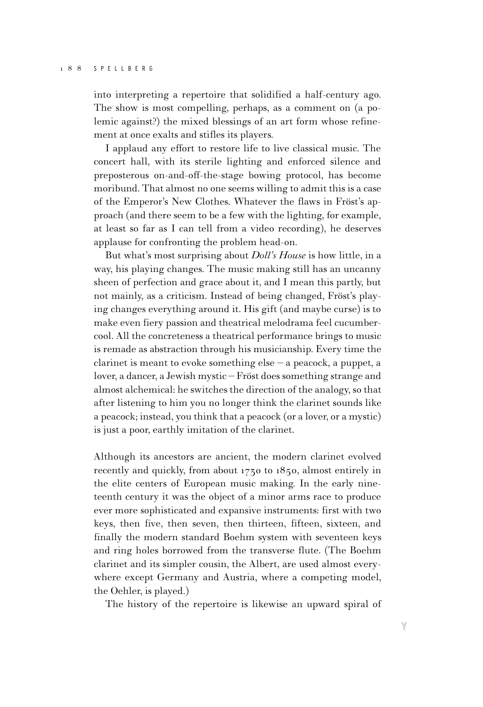into interpreting a repertoire that solidified a half-century ago. The show is most compelling, perhaps, as a comment on (a polemic against?) the mixed blessings of an art form whose refinement at once exalts and stifles its players.

I applaud any effort to restore life to live classical music. The concert hall, with its sterile lighting and enforced silence and preposterous on-and-off-the-stage bowing protocol, has become moribund. That almost no one seems willing to admit this is a case of the Emperor's New Clothes. Whatever the flaws in Fröst's approach (and there seem to be a few with the lighting, for example, at least so far as I can tell from a video recording), he deserves applause for confronting the problem head-on.

But what's most surprising about *Doll's House* is how little, in a way, his playing changes. The music making still has an uncanny sheen of perfection and grace about it, and I mean this partly, but not mainly, as a criticism. Instead of being changed, Fröst's playing changes everything around it. His gift (and maybe curse) is to make even fiery passion and theatrical melodrama feel cucumbercool. All the concreteness a theatrical performance brings to music is remade as abstraction through his musicianship. Every time the clarinet is meant to evoke something else – a peacock, a puppet, a lover, a dancer, a Jewish mystic – Fröst does something strange and almost alchemical: he switches the direction of the analogy, so that after listening to him you no longer think the clarinet sounds like a peacock; instead, you think that a peacock (or a lover, or a mystic) is just a poor, earthly imitation of the clarinet.

Although its ancestors are ancient, the modern clarinet evolved recently and quickly, from about 1730 to 1850, almost entirely in the elite centers of European music making. In the early nineteenth century it was the object of a minor arms race to produce ever more sophisticated and expansive instruments: first with two keys, then five, then seven, then thirteen, fifteen, sixteen, and finally the modern standard Boehm system with seventeen keys and ring holes borrowed from the transverse flute. (The Boehm clarinet and its simpler cousin, the Albert, are used almost everywhere except Germany and Austria, where a competing model, the Oehler, is played.)

The history of the repertoire is likewise an upward spiral of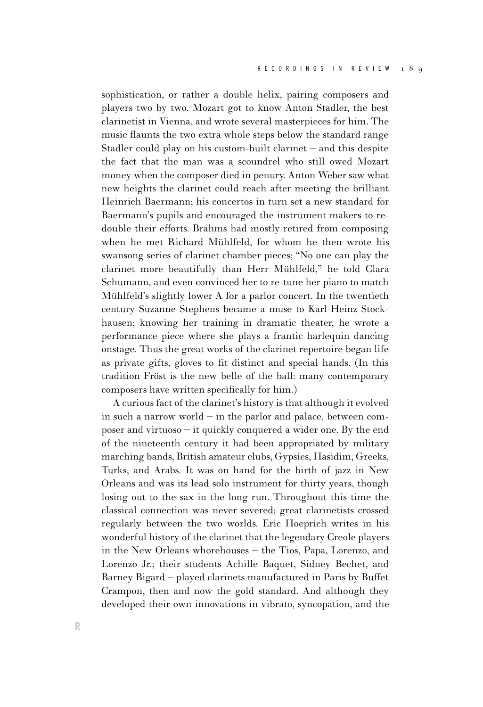sophistication, or rather a double helix, pairing composers and players two by two. Mozart got to know Anton Stadler, the best clarinetist in Vienna, and wrote several masterpieces for him. The music flaunts the two extra whole steps below the standard range Stadler could play on his custom-built clarinet – and this despite the fact that the man was a scoundrel who still owed Mozart money when the composer died in penury. Anton Weber saw what new heights the clarinet could reach after meeting the brilliant Heinrich Baermann; his concertos in turn set a new standard for Baermann's pupils and encouraged the instrument makers to redouble their efforts. Brahms had mostly retired from composing when he met Richard Mühlfeld, for whom he then wrote his swansong series of clarinet chamber pieces; ''No one can play the clarinet more beautifully than Herr Mühlfeld,'' he told Clara Schumann, and even convinced her to re-tune her piano to match Mühlfeld's slightly lower A for a parlor concert. In the twentieth century Suzanne Stephens became a muse to Karl-Heinz Stockhausen; knowing her training in dramatic theater, he wrote a performance piece where she plays a frantic harlequin dancing onstage. Thus the great works of the clarinet repertoire began life as private gifts, gloves to fit distinct and special hands. (In this tradition Fröst is the new belle of the ball: many contemporary composers have written specifically for him.)

A curious fact of the clarinet's history is that although it evolved in such a narrow world  $-$  in the parlor and palace, between composer and virtuoso – it quickly conquered a wider one. By the end of the nineteenth century it had been appropriated by military marching bands, British amateur clubs, Gypsies, Hasidim, Greeks, Turks, and Arabs. It was on hand for the birth of jazz in New Orleans and was its lead solo instrument for thirty years, though losing out to the sax in the long run. Throughout this time the classical connection was never severed; great clarinetists crossed regularly between the two worlds. Eric Hoeprich writes in his wonderful history of the clarinet that the legendary Creole players in the New Orleans whorehouses – the Tios, Papa, Lorenzo, and Lorenzo Jr.; their students Achille Baquet, Sidney Bechet, and Barney Bigard – played clarinets manufactured in Paris by Buffet Crampon, then and now the gold standard. And although they developed their own innovations in vibrato, syncopation, and the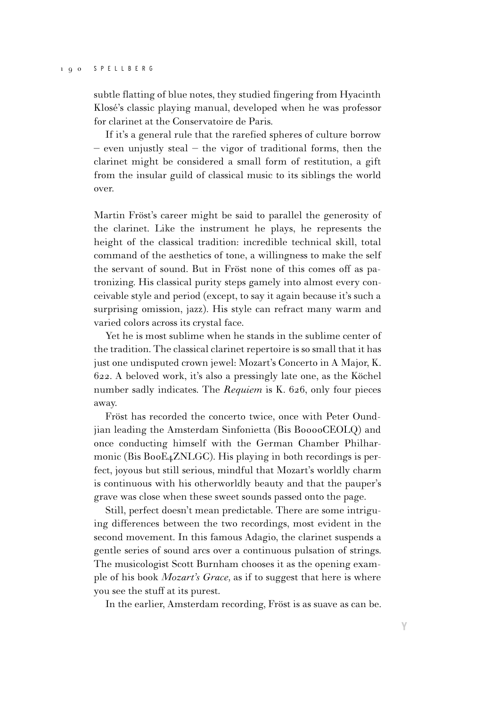subtle flatting of blue notes, they studied fingering from Hyacinth Klosé's classic playing manual, developed when he was professor for clarinet at the Conservatoire de Paris.

If it's a general rule that the rarefied spheres of culture borrow – even unjustly steal – the vigor of traditional forms, then the clarinet might be considered a small form of restitution, a gift from the insular guild of classical music to its siblings the world over.

Martin Fröst's career might be said to parallel the generosity of the clarinet. Like the instrument he plays, he represents the height of the classical tradition: incredible technical skill, total command of the aesthetics of tone, a willingness to make the self the servant of sound. But in Fröst none of this comes off as patronizing. His classical purity steps gamely into almost every conceivable style and period (except, to say it again because it's such a surprising omission, jazz). His style can refract many warm and varied colors across its crystal face.

Yet he is most sublime when he stands in the sublime center of the tradition. The classical clarinet repertoire is so small that it has just one undisputed crown jewel: Mozart's Concerto in A Major, K. 622. A beloved work, it's also a pressingly late one, as the Köchel number sadly indicates. The *Requiem* is K. 626, only four pieces away.

Fröst has recorded the concerto twice, once with Peter Oundjian leading the Amsterdam Sinfonietta (Bis B0000CEOLQ) and once conducting himself with the German Chamber Philharmonic (Bis BooE4ZNLGC). His playing in both recordings is perfect, joyous but still serious, mindful that Mozart's worldly charm is continuous with his otherworldly beauty and that the pauper's grave was close when these sweet sounds passed onto the page.

Still, perfect doesn't mean predictable. There are some intriguing differences between the two recordings, most evident in the second movement. In this famous Adagio, the clarinet suspends a gentle series of sound arcs over a continuous pulsation of strings. The musicologist Scott Burnham chooses it as the opening example of his book *Mozart's Grace,* as if to suggest that here is where you see the stuff at its purest.

In the earlier, Amsterdam recording, Fröst is as suave as can be.